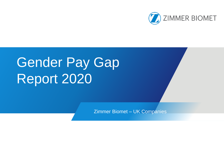

# Gender Pay Gap Report 2020

Zimmer Biomet – UK Companies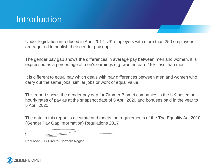### **Introduction**

Under legislation introduced in April 2017, UK employers with more than 250 employees are required to publish their gender pay gap.

The gender pay gap shows the differences in average pay between men and women, it is expressed as a percentage of men's earnings e.g. women earn 15% less than men.

It is different to equal pay which deals with pay differences between men and women who carry out the same jobs, similar jobs or work of equal value.

This report shows the gender pay gap for Zimmer Biomet companies in the UK based on hourly rates of pay as at the snapshot date of 5 April 2020 and bonuses paid in the year to 5 April 2020.

The data in this report is accurate and meets the requirements of the The Equality Act 2010 (Gender Pay Gap Information) Regulations 2017

.

Rael Ryan, HR Director Northern Region

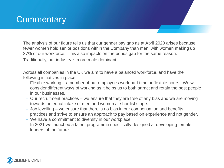# **Commentary**

The analysis of our figure tells us that our gender pay gap as at April 2020 arises because fewer women hold senior positions within the Company than men, with women making up 37% of our workforce. This also impacts on the bonus gap for the same reason.

Traditionally, our industry is more male dominant.

Across all companies in the UK we aim to have a balanced workforce, and have the following initiatives in place:

- Flexible working a number of our employees work part time or flexible hours. We will consider different ways of working as it helps us to both attract and retain the best people in our businesses.
- Our recruitment practices we ensure that they are free of any bias and we are moving towards an equal intake of men and women at shortlist stage.
- Job levelling we ensure that there is no bias in our compensation and benefits practices and strive to ensure an approach to pay based on experience and not gender.
- We have a commitment to diversity in our workplace.
- In 2021 we launched a talent programme specifically designed at developing female leaders of the future.

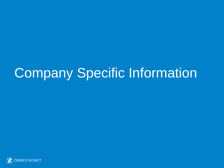# Company Specific Information

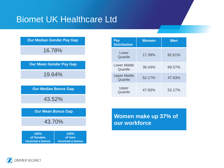## Biomet UK Healthcare Ltd

#### **Our Median Gender Pay Gap**

16.78%

| <b>Our Mean Gender Pay Gap</b> |  |
|--------------------------------|--|
|--------------------------------|--|

19.64%

**Our Median Bonus Gap**

43.52%

|  | <b>Our Mean Bonus Gap</b> |  |
|--|---------------------------|--|
|  |                           |  |

43.70%

| $100\%$          | $100\%$          |
|------------------|------------------|
| of females       | of men           |
| received a bonus | received a bonus |

| Pay<br><b>Distribution</b>      | <b>Women</b> | <b>Men</b> |
|---------------------------------|--------------|------------|
| Lower<br>Quartile               | 17.39%       | 82.61%     |
| Lower Middle<br>Quartile        | 30.43%       | 69.57%     |
| <b>Upper Middle</b><br>Quartile | $52.17\%$    | 47.83%     |
| Upper<br>Quartile               | 47.83%       | $52.17\%$  |

**Women make up 37% of our workforce**

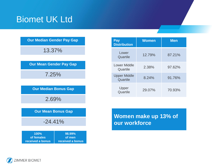# Biomet UK Ltd

|  |  | <b>Our Median Gender Pay Gap</b> |  |  |
|--|--|----------------------------------|--|--|
|--|--|----------------------------------|--|--|

13.37%

| <b>Our Mean Gender Pay Gap</b>         |                                      |  |  |  |
|----------------------------------------|--------------------------------------|--|--|--|
| 7.25%                                  |                                      |  |  |  |
|                                        |                                      |  |  |  |
| <b>Our Median Bonus Gap</b>            |                                      |  |  |  |
| 2.69%                                  |                                      |  |  |  |
|                                        |                                      |  |  |  |
| <b>Our Mean Bonus Gap</b>              |                                      |  |  |  |
| $-24.41\%$                             |                                      |  |  |  |
|                                        |                                      |  |  |  |
| 100%<br>of females<br>received a bonus | 98.99%<br>of men<br>received a bonus |  |  |  |

| Pay<br><b>Distribution</b>      | <b>Women</b> | <b>Men</b> |
|---------------------------------|--------------|------------|
| Lower<br>Quartile               | 12.79%       | 87.21%     |
| Lower Middle<br>Quartile        | 2.38%        | 97.62%     |
| <b>Upper Middle</b><br>Quartile | 8.24%        | 91.76%     |
| Upper<br>Quartile               | 29.07%       | 70.93%     |

**Women make up 13% of our workforce**

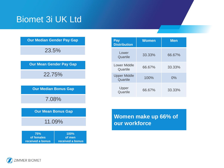## Biomet 3i UK Ltd

| <b>Our Median Gender Pay Gap</b>      |                                    |  |  |  |
|---------------------------------------|------------------------------------|--|--|--|
| 23.5%                                 |                                    |  |  |  |
|                                       | <b>Our Mean Gender Pay Gap</b>     |  |  |  |
| 22.75%                                |                                    |  |  |  |
|                                       | <b>Our Median Bonus Gap</b>        |  |  |  |
| 7.08%                                 |                                    |  |  |  |
| <b>Our Mean Bonus Gap</b>             |                                    |  |  |  |
| 11.09%                                |                                    |  |  |  |
| 75%<br>of females<br>received a bonus | 100%<br>of men<br>received a bonus |  |  |  |

| Pay<br><b>Distribution</b>      | <b>Women</b> | <b>Men</b> |
|---------------------------------|--------------|------------|
| Lower<br>Quartile               | 33.33%       | 66.67%     |
| <b>Lower Middle</b><br>Quartile | 66.67%       | 33.33%     |
| <b>Upper Middle</b><br>Quartile | 100%         | $0\%$      |
| Upper<br>Quartile               | 66.67%       | 33.33%     |

**Women make up 66% of our workforce**

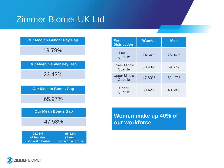# Zimmer Biomet UK Ltd

#### **Our Median Gender Pay Gap**

19.79%



| 93.75%           | <u>95.12%</u>    |
|------------------|------------------|
| of females       | of men           |
| received a bonus | received a bonus |

| Pay<br><b>Distribution</b>      | <b>Women</b> | <b>Men</b> |
|---------------------------------|--------------|------------|
| Lower<br>Quartile               | 24.64%       | 75.36%     |
| Lower Middle<br>Quartile        | 30.43%       | 69.57%     |
| <b>Upper Middle</b><br>Quartile | 47.83%       | 52.17%     |
| Upper<br>Quartile               | 59.42%       | 40.58%     |

**Women make up 40% of our workforce**